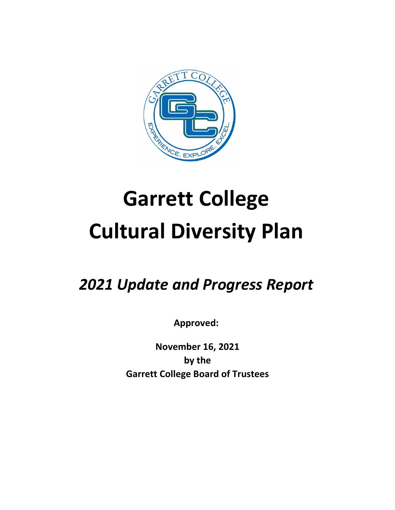

# **Garrett College Cultural Diversity Plan**

*2021 Update and Progress Report*

**Approved:** 

**November 16, 2021 by the Garrett College Board of Trustees**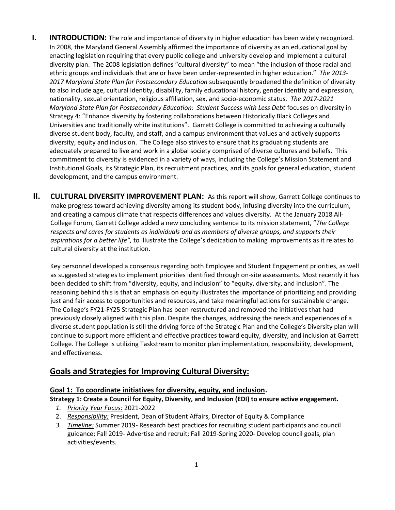- **I. INTRODUCTION:** The role and importance of diversity in higher education has been widely recognized. In 2008, the Maryland General Assembly affirmed the importance of diversity as an educational goal by enacting legislation requiring that every public college and university develop and implement a cultural diversity plan. The 2008 legislation defines "cultural diversity" to mean "the inclusion of those racial and ethnic groups and individuals that are or have been under-represented in higher education." *The 2013- 2017 Maryland State Plan for Postsecondary Education* subsequently broadened the definition of diversity to also include age, cultural identity, disability, family educational history, gender identity and expression, nationality, sexual orientation, religious affiliation, sex, and socio-economic status. *The 2017-2021 Maryland State Plan for Postsecondary Education: Student Success with Less Debt* focuses on diversity in Strategy 4: "Enhance diversity by fostering collaborations between Historically Black Colleges and Universities and traditionally white institutions". Garrett College is committed to achieving a culturally diverse student body, faculty, and staff, and a campus environment that values and actively supports diversity, equity and inclusion. The College also strives to ensure that its graduating students are adequately prepared to live and work in a global society comprised of diverse cultures and beliefs. This commitment to diversity is evidenced in a variety of ways, including the College's Mission Statement and Institutional Goals, its Strategic Plan, its recruitment practices, and its goals for general education, student development, and the campus environment.
- **II. CULTURAL DIVERSITY IMPROVEMENT PLAN:** As this report will show, Garrett College continues to make progress toward achieving diversity among its student body, infusing diversity into the curriculum, and creating a campus climate that respects differences and values diversity. At the January 2018 All-College Forum, Garrett College added a new concluding sentence to its mission statement, "*The College respects and cares for students as individuals and as members of diverse groups, and supports their aspirations for a better life",* to illustrate the College's dedication to making improvements as it relates to cultural diversity at the institution.

Key personnel developed a consensus regarding both Employee and Student Engagement priorities, as well as suggested strategies to implement priorities identified through on-site assessments. Most recently it has been decided to shift from "diversity, equity, and inclusion" to "equity, diversity, and inclusion". The reasoning behind this is that an emphasis on equity illustrates the importance of prioritizing and providing just and fair access to opportunities and resources, and take meaningful actions for sustainable change. The College's FY21-FY25 Strategic Plan has been restructured and removed the initiatives that had previously closely aligned with this plan. Despite the changes, addressing the needs and experiences of a diverse student population is still the driving force of the Strategic Plan and the College's Diversity plan will continue to support more efficient and effective practices toward equity, diversity, and inclusion at Garrett College. The College is utilizing Taskstream to monitor plan implementation, responsibility, development, and effectiveness.

# **Goals and Strategies for Improving Cultural Diversity:**

# **Goal 1: To coordinate initiatives for diversity, equity, and inclusion.**

# **Strategy 1: Create a Council for Equity, Diversity, and Inclusion (EDI) to ensure active engagement.**

- *1. Priority Year Focus:* 2021-2022
- 2. *Responsibility:* President, Dean of Student Affairs, Director of Equity & Compliance
- *3. Timeline:* Summer 2019- Research best practices for recruiting student participants and council guidance; Fall 2019- Advertise and recruit; Fall 2019-Spring 2020- Develop council goals, plan activities/events.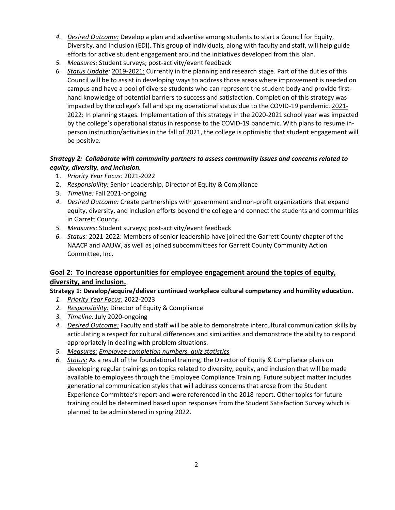- *4. Desired Outcome:* Develop a plan and advertise among students to start a Council for Equity, Diversity, and Inclusion (EDI). This group of individuals, along with faculty and staff, will help guide efforts for active student engagement around the initiatives developed from this plan.
- *5. Measures:* Student surveys; post-activity/event feedback
- *6. Status Update:* 2019-2021: Currently in the planning and research stage. Part of the duties of this Council will be to assist in developing ways to address those areas where improvement is needed on campus and have a pool of diverse students who can represent the student body and provide firsthand knowledge of potential barriers to success and satisfaction. Completion of this strategy was impacted by the college's fall and spring operational status due to the COVID-19 pandemic. 2021- 2022: In planning stages. Implementation of this strategy in the 2020-2021 school year was impacted by the college's operational status in response to the COVID-19 pandemic. With plans to resume inperson instruction/activities in the fall of 2021, the college is optimistic that student engagement will be positive.

# *Strategy 2: Collaborate with community partners to assess community issues and concerns related to equity, diversity, and inclusion.*

- 1. *Priority Year Focus:* 2021-2022
- 2. *Responsibility:* Senior Leadership, Director of Equity & Compliance
- 3. *Timeline:* Fall 2021-ongoing
- *4. Desired Outcome:* Create partnerships with government and non-profit organizations that expand equity, diversity, and inclusion efforts beyond the college and connect the students and communities in Garrett County.
- *5. Measures:* Student surveys; post-activity/event feedback
- *6. Status:* 2021-2022: Members of senior leadership have joined the Garrett County chapter of the NAACP and AAUW, as well as joined subcommittees for Garrett County Community Action Committee, Inc.

# **Goal 2: To increase opportunities for employee engagement around the topics of equity, diversity, and inclusion.**

# **Strategy 1: Develop/acquire/deliver continued workplace cultural competency and humility education.**

- *1. Priority Year Focus:* 2022-2023
- *2. Responsibility:* Director of Equity & Compliance
- *3. Timeline:* July 2020-ongoing
- *4. Desired Outcome:* Faculty and staff will be able to demonstrate intercultural communication skills by articulating a respect for cultural differences and similarities and demonstrate the ability to respond appropriately in dealing with problem situations.
- *5. Measures: Employee completion numbers, quiz statistics*
- *6. Status:* As a result of the foundational training, the Director of Equity & Compliance plans on developing regular trainings on topics related to diversity, equity, and inclusion that will be made available to employees through the Employee Compliance Training. Future subject matter includes generational communication styles that will address concerns that arose from the Student Experience Committee's report and were referenced in the 2018 report. Other topics for future training could be determined based upon responses from the Student Satisfaction Survey which is planned to be administered in spring 2022.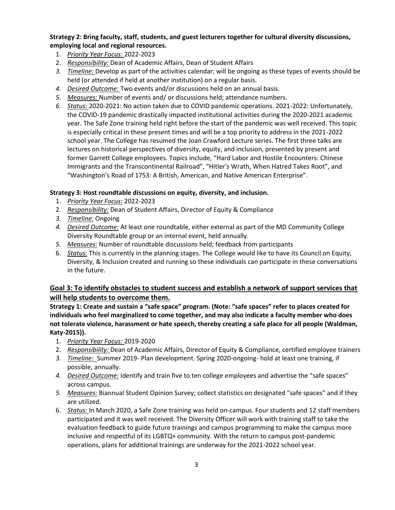## **Strategy 2: Bring faculty, staff, students, and guest lecturers together for cultural diversity discussions, employing local and regional resources.**

- 1. *Priority Year Focus:* 2022-2023
- 2. *Responsibility:* Dean of Academic Affairs, Dean of Student Affairs
- *3. Timeline:* Develop as part of the activities calendar; will be ongoing as these types of events should be held (or attended if held at another institution) on a regular basis.
- *4. Desired Outcome:* Two events and/or discussions held on an annual basis.
- *5. Measures:* Number of events and/ or discussions held; attendance numbers.
- *6. Status:* 2020-2021: No action taken due to COVID pandemic operations. 2021-2022: Unfortunately, the COVID-19 pandemic drastically impacted institutional activities during the 2020-2021 academic year. The Safe Zone training held right before the start of the pandemic was well received. This topic is especially critical in these present times and will be a top priority to address in the 2021-2022 school year. The College has resumed the Joan Crawford Lecture series. The first three talks are lectures on historical perspectives of diversity, equity, and inclusion, presented by present and former Garrett College employees. Topics include, "Hard Labor and Hostile Encounters: Chinese Immigrants and the Transcontinental Railroad", "Hitler's Wrath, When Hatred Takes Root", and "Washington's Road of 1753: A British, American, and Native American Enterprise".

## **Strategy 3: Host roundtable discussions on equity, diversity, and inclusion.**

- 1. *Priority Year Focus*: 2022-2023
- 2. *Responsibility:* Dean of Student Affairs, Director of Equity & Compliance
- *3. Timeline:* Ongoing
- *4. Desired Outcome:* At least one roundtable, either external as part of the MD Community College Diversity Roundtable group or an internal event, held annually.
- *5. Measures:* Number of roundtable discussions held; feedback from participants
- 6. *Status:* This is currently in the planning stages. The College would like to have its Council on Equity, Diversity, & Inclusion created and running so these individuals can participate in these conversations in the future.

# **Goal 3: To identify obstacles to student success and establish a network of support services that will help students to overcome them.**

**Strategy 1: Create and sustain a "safe space" program. (Note: "safe spaces" refer to places created for individuals who feel marginalized to come together, and may also indicate a faculty member who does not tolerate violence, harassment or hate speech, thereby creating a safe place for all people (Waldman, Katy-2015)).**

- 1. *Priority Year Focus:* 2019-2020
- 2. *Responsibility:* Dean of Academic Affairs, Director of Equity & Compliance, certified employee trainers
- *3. Timeline:* Summer 2019- Plan development. Spring 2020-ongoing- hold at least one training, if possible, annually.
- *4. Desired Outcome:* Identify and train five to ten college employees and advertise the "safe spaces" across campus.
- *5. Measures:* Biannual Student Opinion Survey; collect statistics on designated "safe spaces" and if they are utilized.
- 6. *Status:* In March 2020, a Safe Zone training was held on-campus. Four students and 12 staff members participated and it was well received. The Diversity Officer will work with training staff to take the evaluation feedback to guide future trainings and campus programming to make the campus more inclusive and respectful of its LGBTQ+ community. With the return to campus post-pandemic operations, plans for additional trainings are underway for the 2021-2022 school year.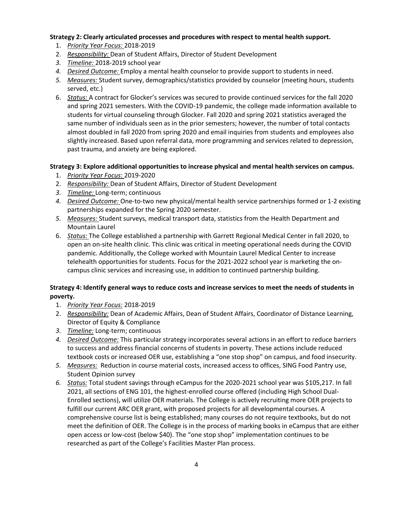#### **Strategy 2: Clearly articulated processes and procedures with respect to mental health support.**

- 1. *Priority Year Focus:* 2018-2019
- 2. *Responsibility:* Dean of Student Affairs, Director of Student Development
- *3. Timeline:* 2018-2019 school year
- *4. Desired Outcome:* Employ a mental health counselor to provide support to students in need.
- *5. Measures:* Student survey, demographics/statistics provided by counselor (meeting hours, students served, etc.)
- 6. *Status:* A contract for Glocker's services was secured to provide continued services for the fall 2020 and spring 2021 semesters. With the COVID-19 pandemic, the college made information available to students for virtual counseling through Glocker. Fall 2020 and spring 2021 statistics averaged the same number of individuals seen as in the prior semesters; however, the number of total contacts almost doubled in fall 2020 from spring 2020 and email inquiries from students and employees also slightly increased. Based upon referral data, more programming and services related to depression, past trauma, and anxiety are being explored.

## **Strategy 3: Explore additional opportunities to increase physical and mental health services on campus.**

- 1. *Priority Year Focus*: 2019-2020
- 2. *Responsibility:* Dean of Student Affairs, Director of Student Development
- *3. Timeline:* Long-term; continuous
- *4. Desired Outcome:* One-to-two new physical/mental health service partnerships formed or 1-2 existing partnerships expanded for the Spring 2020 semester.
- *5. Measures:* Student surveys, medical transport data, statistics from the Health Department and Mountain Laurel
- 6. *Status:* The College established a partnership with Garrett Regional Medical Center in fall 2020, to open an on-site health clinic. This clinic was critical in meeting operational needs during the COVID pandemic. Additionally, the College worked with Mountain Laurel Medical Center to increase telehealth opportunities for students. Focus for the 2021-2022 school year is marketing the oncampus clinic services and increasing use, in addition to continued partnership building.

# **Strategy 4: Identify general ways to reduce costs and increase services to meet the needs of students in poverty.**

- 1. *Priority Year Focus:* 2018-2019
- 2. *Responsibility:* Dean of Academic Affairs, Dean of Student Affairs, Coordinator of Distance Learning, Director of Equity & Compliance
- *3. Timeline:* Long-term; continuous
- *4. Desired Outcome:* This particular strategy incorporates several actions in an effort to reduce barriers to success and address financial concerns of students in poverty. These actions include reduced textbook costs or increased OER use, establishing a "one stop shop" on campus, and food insecurity.
- *5. Measures:* Reduction in course material costs, increased access to offices, SING Food Pantry use, Student Opinion survey
- *6. Status:* Total student savings through eCampus for the 2020-2021 school year was \$105,217. In fall 2021, all sections of ENG 101, the highest-enrolled course offered (including High School Dual-Enrolled sections), will utilize OER materials. The College is actively recruiting more OER projects to fulfill our current ARC OER grant, with proposed projects for all developmental courses. A comprehensive course list is being established; many courses do not require textbooks, but do not meet the definition of OER. The College is in the process of marking books in eCampus that are either open access or low-cost (below \$40). The "one stop shop" implementation continues to be researched as part of the College's Facilities Master Plan process.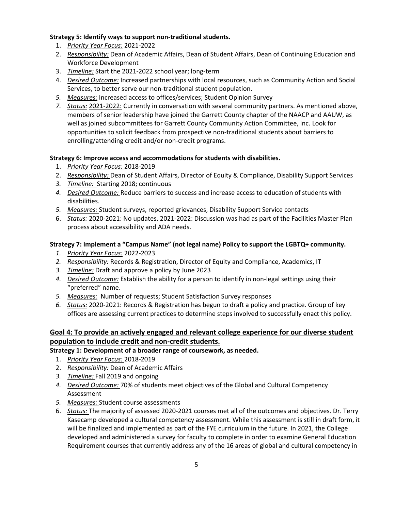## **Strategy 5: Identify ways to support non-traditional students.**

- 1. *Priority Year Focus:* 2021-2022
- 2. *Responsibility:* Dean of Academic Affairs, Dean of Student Affairs, Dean of Continuing Education and Workforce Development
- 3. *Timeline:* Start the 2021-2022 school year; long-term
- 4. *Desired Outcome:* Increased partnerships with local resources, such as Community Action and Social Services, to better serve our non-traditional student population.
- *5. Measures:* Increased access to offices/services; Student Opinion Survey
- *7. Status:* 2021-2022: Currently in conversation with several community partners. As mentioned above, members of senior leadership have joined the Garrett County chapter of the NAACP and AAUW, as well as joined subcommittees for Garrett County Community Action Committee, Inc. Look for opportunities to solicit feedback from prospective non-traditional students about barriers to enrolling/attending credit and/or non-credit programs.

## **Strategy 6: Improve access and accommodations for students with disabilities.**

- 1. *Priority Year Focus:* 2018-2019
- 2. *Responsibility:* Dean of Student Affairs, Director of Equity & Compliance, Disability Support Services
- *3. Timeline:* Starting 2018; continuous
- *4. Desired Outcome:* Reduce barriers to success and increase access to education of students with disabilities.
- *5. Measures:* Student surveys, reported grievances, Disability Support Service contacts
- 6. *Status:* 2020-2021: No updates. 2021-2022: Discussion was had as part of the Facilities Master Plan process about accessibility and ADA needs.

# **Strategy 7: Implement a "Campus Name" (not legal name) Policy to support the LGBTQ+ community.**

- *1. Priority Year Focus:* 2022-2023
- *2. Responsibility:* Records & Registration, Director of Equity and Compliance, Academics, IT
- *3. Timeline:* Draft and approve a policy by June 2023
- *4. Desired Outcome:* Establish the ability for a person to identify in non-legal settings using their "preferred" name.
- *5. Measures:* Number of requests; Student Satisfaction Survey responses
- *6. Status:* 2020-2021: Records & Registration has begun to draft a policy and practice. Group of key offices are assessing current practices to determine steps involved to successfully enact this policy.

# **Goal 4: To provide an actively engaged and relevant college experience for our diverse student population to include credit and non-credit students.**

**Strategy 1: Development of a broader range of coursework, as needed.**

- 1. *Priority Year Focus:* 2018-2019
- 2. *Responsibility:* Dean of Academic Affairs
- *3. Timeline:* Fall 2019 and ongoing
- *4. Desired Outcome:* 70% of students meet objectives of the Global and Cultural Competency Assessment
- *5. Measures:* Student course assessments
- 6. *Status:* The majority of assessed 2020-2021 courses met all of the outcomes and objectives. Dr. Terry Kasecamp developed a cultural competency assessment. While this assessment is still in draft form, it will be finalized and implemented as part of the FYE curriculum in the future. In 2021, the College developed and administered a survey for faculty to complete in order to examine General Education Requirement courses that currently address any of the 16 areas of global and cultural competency in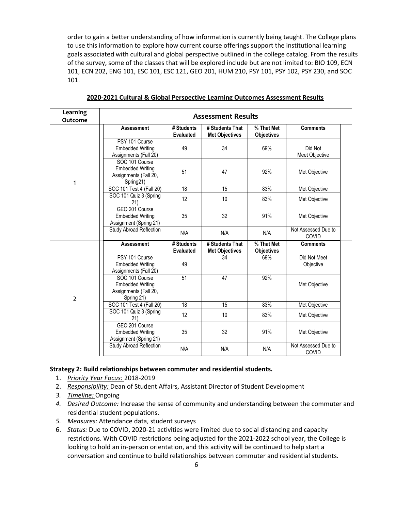order to gain a better understanding of how information is currently being taught. The College plans to use this information to explore how current course offerings support the institutional learning goals associated with cultural and global perspective outlined in the college catalog. From the results of the survey, some of the classes that will be explored include but are not limited to: BIO 109, ECN 101, ECN 202, ENG 101, ESC 101, ESC 121, GEO 201, HUM 210, PSY 101, PSY 102, PSY 230, and SOC 101.

| Learning<br>Outcome | <b>Assessment Results</b>                                                        |                                |                                          |                                 |                              |  |  |
|---------------------|----------------------------------------------------------------------------------|--------------------------------|------------------------------------------|---------------------------------|------------------------------|--|--|
|                     | <b>Assessment</b>                                                                | # Students<br><b>Evaluated</b> | # Students That<br><b>Met Objectives</b> | % That Met<br><b>Objectives</b> | <b>Comments</b>              |  |  |
| 1                   | PSY 101 Course<br><b>Embedded Writing</b><br>Assignments (Fall 20)               | 49                             | 34                                       | 69%                             | Did Not<br>Meet Objective    |  |  |
|                     | SOC 101 Course<br><b>Embedded Writing</b><br>Assignments (Fall 20,<br>Spring21)  | 51                             | 47                                       | 92%                             | Met Objective                |  |  |
|                     | SOC 101 Test 4 (Fall 20)                                                         | 18                             | 15                                       | 83%                             | Met Objective                |  |  |
|                     | SOC 101 Quiz 3 (Spring<br>21)                                                    | 12                             | 10                                       | 83%                             | Met Objective                |  |  |
|                     | GEO 201 Course<br><b>Embedded Writing</b><br>Assignment (Spring 21)              | 35                             | 32                                       | 91%                             | Met Objective                |  |  |
|                     | Study Abroad Reflection                                                          | N/A                            | N/A                                      | N/A                             | Not Assessed Due to<br>COVID |  |  |
|                     | <b>Assessment</b>                                                                | # Students<br><b>Evaluated</b> | # Students That<br><b>Met Objectives</b> | % That Met<br><b>Objectives</b> | <b>Comments</b>              |  |  |
| $\overline{2}$      | PSY 101 Course<br><b>Embedded Writing</b><br>Assignments (Fall 20)               | 49                             | 34                                       | 69%                             | Did Not Meet<br>Objective    |  |  |
|                     | SOC 101 Course<br><b>Embedded Writing</b><br>Assignments (Fall 20,<br>Spring 21) | 51                             | 47                                       | 92%                             | Met Objective                |  |  |
|                     | SOC 101 Test 4 (Fall 20)                                                         | 18                             | 15                                       | 83%                             | Met Objective                |  |  |
|                     | SOC 101 Quiz 3 (Spring<br>21)                                                    | 12                             | 10                                       | 83%                             | Met Objective                |  |  |
|                     | GEO 201 Course<br><b>Embedded Writing</b><br>Assignment (Spring 21)              | 35                             | 32                                       | 91%                             | Met Objective                |  |  |
|                     | Study Abroad Reflection                                                          | N/A                            | N/A                                      | N/A                             | Not Assessed Due to<br>COVID |  |  |

**2020-2021 Cultural & Global Perspective Learning Outcomes Assessment Results**

#### **Strategy 2: Build relationships between commuter and residential students.**

- 1. *Priority Year Focus:* 2018-2019
- 2. *Responsibility:* Dean of Student Affairs, Assistant Director of Student Development
- *3. Timeline:* Ongoing
- *4. Desired Outcome:* Increase the sense of community and understanding between the commuter and residential student populations.
- *5. Measures:* Attendance data, student surveys
- 6. *Status:* Due to COVID, 2020-21 activities were limited due to social distancing and capacity restrictions. With COVID restrictions being adjusted for the 2021-2022 school year, the College is looking to hold an in-person orientation, and this activity will be continued to help start a conversation and continue to build relationships between commuter and residential students.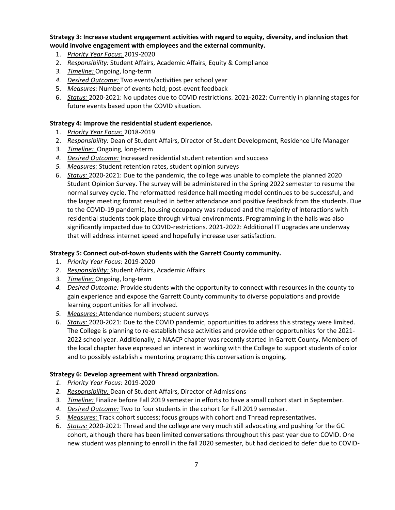## **Strategy 3: Increase student engagement activities with regard to equity, diversity, and inclusion that would involve engagement with employees and the external community.**

- 1. *Priority Year Focus:* 2019-2020
- 2. *Responsibility:* Student Affairs, Academic Affairs, Equity & Compliance
- *3. Timeline:* Ongoing, long-term
- *4. Desired Outcome:* Two events/activities per school year
- 5. *Measures:* Number of events held; post-event feedback
- 6. *Status:* 2020-2021: No updates due to COVID restrictions. 2021-2022: Currently in planning stages for future events based upon the COVID situation.

## **Strategy 4: Improve the residential student experience.**

- 1. *Priority Year Focus:* 2018-2019
- 2. *Responsibility:* Dean of Student Affairs, Director of Student Development, Residence Life Manager
- *3. Timeline:* Ongoing, long-term
- *4. Desired Outcome:* Increased residential student retention and success
- *5. Measures:* Student retention rates, student opinion surveys
- 6. *Status:* 2020-2021: Due to the pandemic, the college was unable to complete the planned 2020 Student Opinion Survey. The survey will be administered in the Spring 2022 semester to resume the normal survey cycle. The reformatted residence hall meeting model continues to be successful, and the larger meeting format resulted in better attendance and positive feedback from the students. Due to the COVID-19 pandemic, housing occupancy was reduced and the majority of interactions with residential students took place through virtual environments. Programming in the halls was also significantly impacted due to COVID-restrictions. 2021-2022: Additional IT upgrades are underway that will address internet speed and hopefully increase user satisfaction.

## **Strategy 5: Connect out-of-town students with the Garrett County community.**

- 1. *Priority Year Focus:* 2019-2020
- 2. *Responsibility:* Student Affairs, Academic Affairs
- *3. Timeline:* Ongoing, long-term
- *4. Desired Outcome:* Provide students with the opportunity to connect with resources in the county to gain experience and expose the Garrett County community to diverse populations and provide learning opportunities for all involved.
- *5. Measures:* Attendance numbers; student surveys
- 6. *Status:* 2020-2021: Due to the COVID pandemic, opportunities to address this strategy were limited. The College is planning to re-establish these activities and provide other opportunities for the 2021- 2022 school year. Additionally, a NAACP chapter was recently started in Garrett County. Members of the local chapter have expressed an interest in working with the College to support students of color and to possibly establish a mentoring program; this conversation is ongoing.

## **Strategy 6: Develop agreement with Thread organization.**

- *1. Priority Year Focus:* 2019-2020
- *2. Responsibility:* Dean of Student Affairs, Director of Admissions
- *3. Timeline:* Finalize before Fall 2019 semester in efforts to have a small cohort start in September.
- *4. Desired Outcome:* Two to four students in the cohort for Fall 2019 semester.
- *5. Measures:* Track cohort success; focus groups with cohort and Thread representatives.
- 6. *Status:* 2020-2021: Thread and the college are very much still advocating and pushing for the GC cohort, although there has been limited conversations throughout this past year due to COVID. One new student was planning to enroll in the fall 2020 semester, but had decided to defer due to COVID-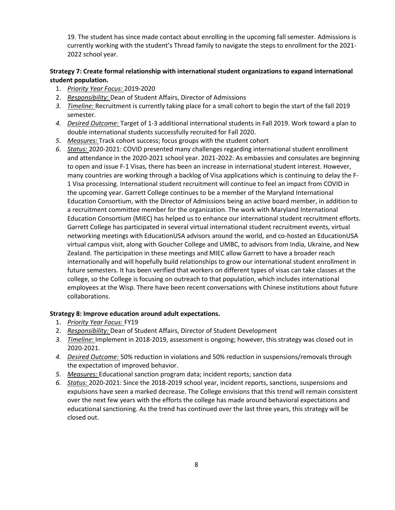19. The student has since made contact about enrolling in the upcoming fall semester. Admissions is currently working with the student's Thread family to navigate the steps to enrollment for the 2021- 2022 school year.

# **Strategy 7: Create formal relationship with international student organizations to expand international student population.**

- 1. *Priority Year Focus:* 2019-2020
- 2. *Responsibility*: Dean of Student Affairs, Director of Admissions
- *3. Timeline:* Recruitment is currently taking place for a small cohort to begin the start of the fall 2019 semester.
- *4. Desired Outcome:* Target of 1-3 additional international students in Fall 2019. Work toward a plan to double international students successfully recruited for Fall 2020.
- *5. Measures:* Track cohort success; focus groups with the student cohort
- *6. Status:* 2020-2021: COVID presented many challenges regarding international student enrollment and attendance in the 2020-2021 school year. 2021-2022: As embassies and consulates are beginning to open and issue F-1 Visas, there has been an increase in international student interest. However, many countries are working through a backlog of Visa applications which is continuing to delay the F-1 Visa processing. International student recruitment will continue to feel an impact from COVID in the upcoming year. Garrett College continues to be a member of the Maryland International Education Consortium, with the Director of Admissions being an active board member, in addition to a recruitment committee member for the organization. The work with Maryland International Education Consortium (MIEC) has helped us to enhance our international student recruitment efforts. Garrett College has participated in several virtual international student recruitment events, virtual networking meetings with EducationUSA advisors around the world, and co-hosted an EducationUSA virtual campus visit, along with Goucher College and UMBC, to advisors from India, Ukraine, and New Zealand. The participation in these meetings and MIEC allow Garrett to have a broader reach internationally and will hopefully build relationships to grow our international student enrollment in future semesters. It has been verified that workers on different types of visas can take classes at the college, so the College is focusing on outreach to that population, which includes international employees at the Wisp. There have been recent conversations with Chinese institutions about future collaborations.

#### **Strategy 8: Improve education around adult expectations.**

- 1. *Priority Year Focus:* FY19
- 2. *Responsibility:* Dean of Student Affairs, Director of Student Development
- *3. Timeline:* Implement in 2018-2019, assessment is ongoing; however, this strategy was closed out in 2020-2021.
- *4. Desired Outcome:* 50% reduction in violations and 50% reduction in suspensions/removals through the expectation of improved behavior.
- *5. Measures:* Educational sanction program data; incident reports; sanction data
- *6. Status:* 2020-2021: Since the 2018-2019 school year, incident reports, sanctions, suspensions and expulsions have seen a marked decrease. The College envisions that this trend will remain consistent over the next few years with the efforts the college has made around behavioral expectations and educational sanctioning. As the trend has continued over the last three years, this strategy will be closed out.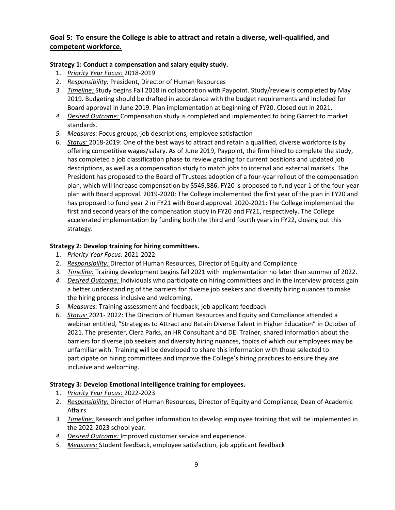# **Goal 5: To ensure the College is able to attract and retain a diverse, well-qualified, and competent workforce.**

## **Strategy 1: Conduct a compensation and salary equity study.**

- 1. *Priority Year Focus:* 2018-2019
- 2. *Responsibility:* President, Director of Human Resources
- *3. Timeline:* Study begins Fall 2018 in collaboration with Paypoint. Study/review is completed by May 2019. Budgeting should be drafted in accordance with the budget requirements and included for Board approval in June 2019. Plan implementation at beginning of FY20. Closed out in 2021.
- *4. Desired Outcome:* Compensation study is completed and implemented to bring Garrett to market standards.
- *5. Measures:* Focus groups, job descriptions, employee satisfaction
- 6. *Status:* 2018-2019: One of the best ways to attract and retain a qualified, diverse workforce is by offering competitive wages/salary. As of June 2019, Paypoint, the firm hired to complete the study, has completed a job classification phase to review grading for current positions and updated job descriptions, as well as a compensation study to match jobs to internal and external markets. The President has proposed to the Board of Trustees adoption of a four-year rollout of the compensation plan, which will increase compensation by \$549,886. FY20 is proposed to fund year 1 of the four-year plan with Board approval. 2019-2020: The College implemented the first year of the plan in FY20 and has proposed to fund year 2 in FY21 with Board approval. 2020-2021: The College implemented the first and second years of the compensation study in FY20 and FY21, respectively. The College accelerated implementation by funding both the third and fourth years in FY22, closing out this strategy.

## **Strategy 2: Develop training for hiring committees.**

- 1. *Priority Year Focus:* 2021-2022
- 2. *Responsibility:* Director of Human Resources, Director of Equity and Compliance
- *3. Timeline:* Training development begins fall 2021 with implementation no later than summer of 2022.
- *4. Desired Outcome:* Individuals who participate on hiring committees and in the interview process gain a better understanding of the barriers for diverse job seekers and diversity hiring nuances to make the hiring process inclusive and welcoming.
- *5. Measures:* Training assessment and feedback; job applicant feedback
- 6. *Status:* 2021- 2022: The Directors of Human Resources and Equity and Compliance attended a webinar entitled, "Strategies to Attract and Retain Diverse Talent in Higher Education" in October of 2021. The presenter, Ciera Parks, an HR Consultant and DEI Trainer, shared information about the barriers for diverse job seekers and diversity hiring nuances, topics of which our employees may be unfamiliar with. Training will be developed to share this information with those selected to participate on hiring committees and improve the College's hiring practices to ensure they are inclusive and welcoming.

# **Strategy 3: Develop Emotional Intelligence training for employees.**

- 1. *Priority Year Focus:* 2022-2023
- 2. *Responsibility:* Director of Human Resources, Director of Equity and Compliance, Dean of Academic Affairs
- *3. Timeline:* Research and gather information to develop employee training that will be implemented in the 2022-2023 school year.
- *4. Desired Outcome:* Improved customer service and experience.
- *5. Measures:* Student feedback, employee satisfaction, job applicant feedback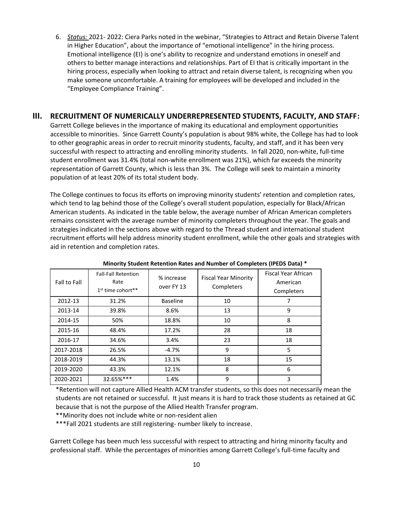6. *Status:* 2021- 2022: Ciera Parks noted in the webinar, "Strategies to Attract and Retain Diverse Talent in Higher Education", about the importance of "emotional intelligence" in the hiring process. Emotional intelligence (EI) is one's ability to recognize and understand emotions in oneself and others to better manage interactions and relationships. Part of EI that is critically important in the hiring process, especially when looking to attract and retain diverse talent, is recognizing when you make someone uncomfortable. A training for employees will be developed and included in the "Employee Compliance Training".

#### **III. RECRUITMENT OF NUMERICALLY UNDERREPRESENTED STUDENTS, FACULTY, AND STAFF:**

Garrett College believes in the importance of making its educational and employment opportunities accessible to minorities. Since Garrett County's population is about 98% white, the College has had to look to other geographic areas in order to recruit minority students, faculty, and staff, and it has been very successful with respect to attracting and enrolling minority students. In fall 2020, non-white, full-time student enrollment was 31.4% (total non-white enrollment was 21%), which far exceeds the minority representation of Garrett County, which is less than 3%. The College will seek to maintain a minority population of at least 20% of its total student body.

The College continues to focus its efforts on improving minority students' retention and completion rates, which tend to lag behind those of the College's overall student population, especially for Black/African American students. As indicated in the table below, the average number of African American completers remains consistent with the average number of minority completers throughout the year. The goals and strategies indicated in the sections above with regard to the Thread student and international student recruitment efforts will help address minority student enrollment, while the other goals and strategies with aid in retention and completion rates.

| Fall to Fall | <b>Fall-Fall Retention</b><br>Rate<br>1 <sup>st</sup> time cohort** | % increase<br>over FY 13 | <b>Fiscal Year Minority</b><br>Completers | Fiscal Year African<br>American<br>Completers |
|--------------|---------------------------------------------------------------------|--------------------------|-------------------------------------------|-----------------------------------------------|
| 2012-13      | 31.2%                                                               | <b>Baseline</b>          | 10                                        | 7                                             |
| 2013-14      | 39.8%                                                               | 8.6%                     | 13                                        | 9                                             |
| 2014-15      | 50%                                                                 | 18.8%                    | 10                                        | 8                                             |
| 2015-16      | 48.4%                                                               | 17.2%                    | 28                                        | 18                                            |
| 2016-17      | 34.6%                                                               | 3.4%                     | 23                                        | 18                                            |
| 2017-2018    | 26.5%                                                               | $-4.7%$                  | 9                                         | 5                                             |
| 2018-2019    | 44.3%                                                               | 13.1%                    | 18                                        | 15                                            |
| 2019-2020    | 43.3%                                                               | 12.1%                    | 8                                         | 6                                             |
| 2020-2021    | 32.65%***                                                           | 1.4%                     | 9                                         | 3                                             |

**Minority Student Retention Rates and Number of Completers (IPEDS Data) \***

\*Retention will not capture Allied Health ACM transfer students, so this does not necessarily mean the students are not retained or successful. It just means it is hard to track those students as retained at GC because that is not the purpose of the Allied Health Transfer program.

\*\*Minority does not include white or non-resident alien

\*\*\*Fall 2021 students are still registering- number likely to increase.

Garrett College has been much less successful with respect to attracting and hiring minority faculty and professional staff. While the percentages of minorities among Garrett College's full-time faculty and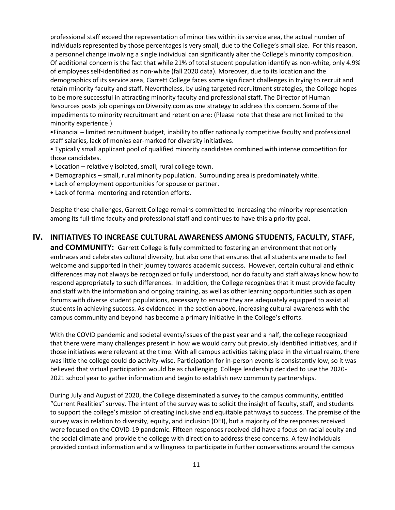professional staff exceed the representation of minorities within its service area, the actual number of individuals represented by those percentages is very small, due to the College's small size. For this reason, a personnel change involving a single individual can significantly alter the College's minority composition. Of additional concern is the fact that while 21% of total student population identify as non-white, only 4.9% of employees self-identified as non-white (fall 2020 data). Moreover, due to its location and the demographics of its service area, Garrett College faces some significant challenges in trying to recruit and retain minority faculty and staff. Nevertheless, by using targeted recruitment strategies, the College hopes to be more successful in attracting minority faculty and professional staff. The Director of Human Resources posts job openings on Diversity.com as one strategy to address this concern. Some of the impediments to minority recruitment and retention are: (Please note that these are not limited to the minority experience.)

•Financial – limited recruitment budget, inability to offer nationally competitive faculty and professional staff salaries, lack of monies ear-marked for diversity initiatives.

• Typically small applicant pool of qualified minority candidates combined with intense competition for those candidates.

- Location relatively isolated, small, rural college town.
- Demographics small, rural minority population. Surrounding area is predominately white.
- Lack of employment opportunities for spouse or partner.
- Lack of formal mentoring and retention efforts.

Despite these challenges, Garrett College remains committed to increasing the minority representation among its full-time faculty and professional staff and continues to have this a priority goal.

# **IV. INITIATIVES TO INCREASE CULTURAL AWARENESS AMONG STUDENTS, FACULTY, STAFF,**

**and COMMUNITY:** Garrett College is fully committed to fostering an environment that not only embraces and celebrates cultural diversity, but also one that ensures that all students are made to feel welcome and supported in their journey towards academic success. However, certain cultural and ethnic differences may not always be recognized or fully understood, nor do faculty and staff always know how to respond appropriately to such differences. In addition, the College recognizes that it must provide faculty and staff with the information and ongoing training, as well as other learning opportunities such as open forums with diverse student populations, necessary to ensure they are adequately equipped to assist all students in achieving success. As evidenced in the section above, increasing cultural awareness with the campus community and beyond has become a primary initiative in the College's efforts.

With the COVID pandemic and societal events/issues of the past year and a half, the college recognized that there were many challenges present in how we would carry out previously identified initiatives, and if those initiatives were relevant at the time. With all campus activities taking place in the virtual realm, there was little the college could do activity-wise. Participation for in-person events is consistently low, so it was believed that virtual participation would be as challenging. College leadership decided to use the 2020- 2021 school year to gather information and begin to establish new community partnerships.

During July and August of 2020, the College disseminated a survey to the campus community, entitled "Current Realities" survey. The intent of the survey was to solicit the insight of faculty, staff, and students to support the college's mission of creating inclusive and equitable pathways to success. The premise of the survey was in relation to diversity, equity, and inclusion (DEI), but a majority of the responses received were focused on the COVID-19 pandemic. Fifteen responses received did have a focus on racial equity and the social climate and provide the college with direction to address these concerns. A few individuals provided contact information and a willingness to participate in further conversations around the campus